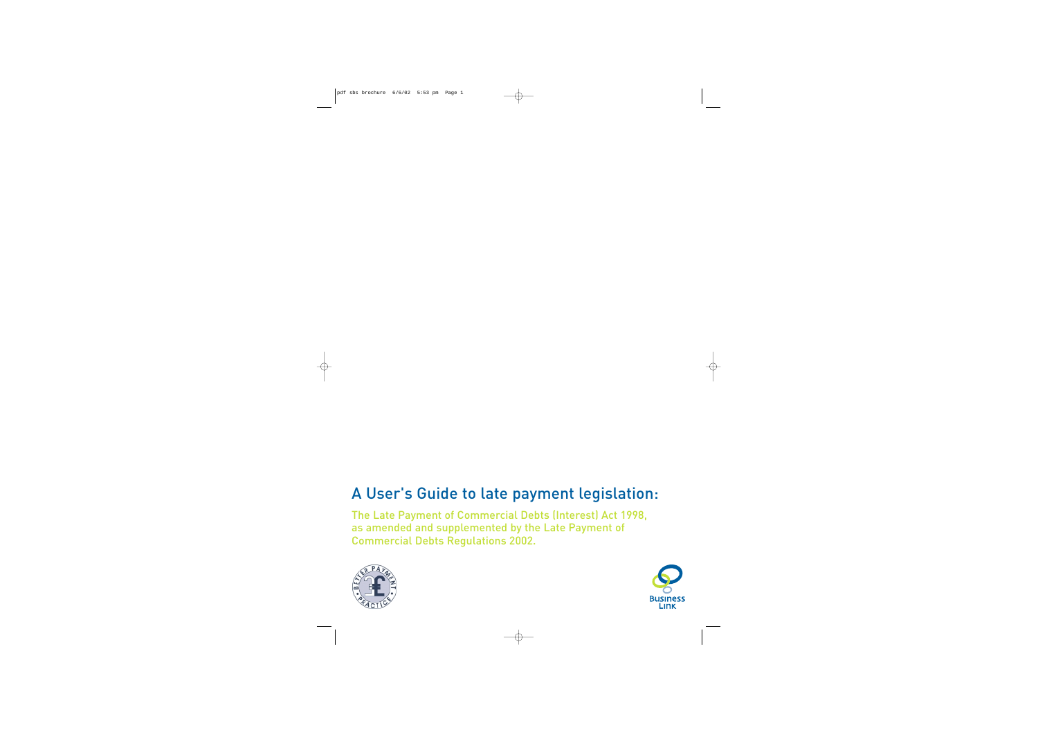# A User's Guide to late payment legislation:

The Late Payment of Commercial Debts (Interest) Act 1998, as amended and supplemented by the Late Payment of Commercial Debts Regulations 2002.



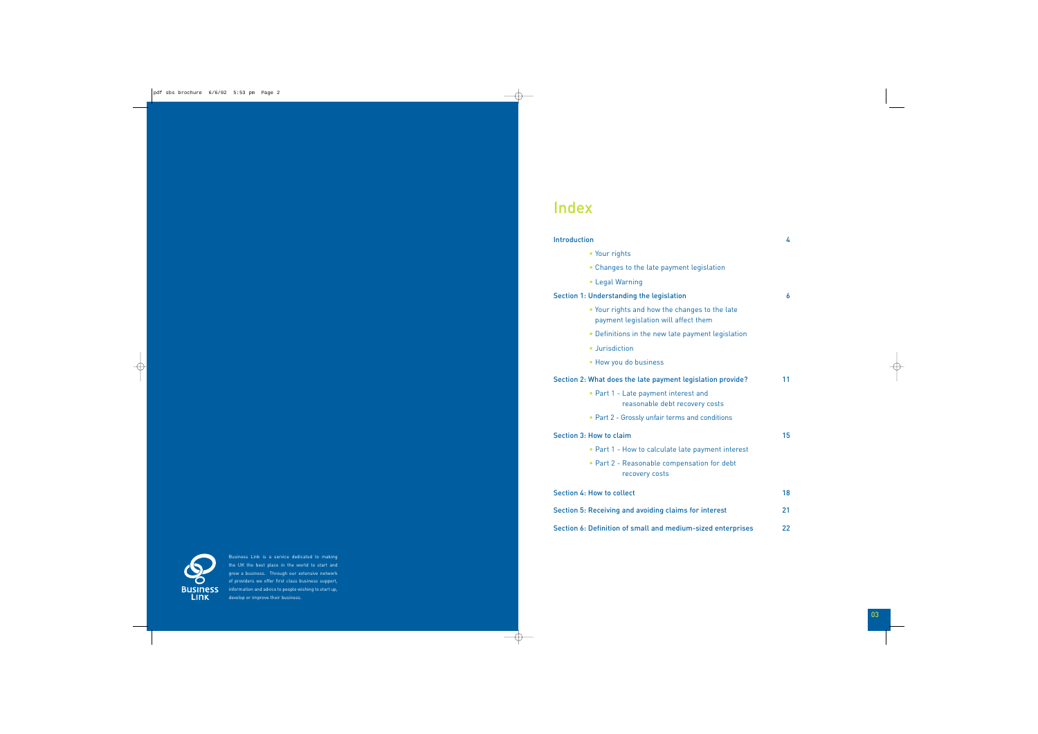#### Introduction 4

- Your rights
- Changes to the late payment legisl
- Legal Warning

#### Section 1: Understanding the legislation

- Your rights and how the changes to payment legislation will affect ther
- $\bullet$  Definitions in the new late paymen
- Jurisdiction
- How you do business

### Section 2: What does the late payment legislati

- Part 1 Late payment interest and reasonable debt recovery
- Part 2 Grossly unfair terms and conditions

#### Section 3: How to claim

- Part 1 How to calculate late paym
- $\bullet$  Part 2 Reasonable compensation recovery costs

Section 4: How to collect 18 and 18

Section 5: Receiving and avoiding claims for int

Section 6: Definition of small and medium-size



# Index

Business Link is a service dedicated to making the UK the best place in the world to start and grow a business. Through our extensive network of providers we offer first class business support, information and advice to people wishing to start up, develop or improve their business.

| lation                            |    |
|-----------------------------------|----|
| o the late<br>m<br>it legislation | 6  |
| ion provide?<br>costs             | 11 |
| nditions<br>nent interest         | 15 |
| for debt                          |    |

|                | 18 |
|----------------|----|
| terest         | 21 |
| ed enterprises | 22 |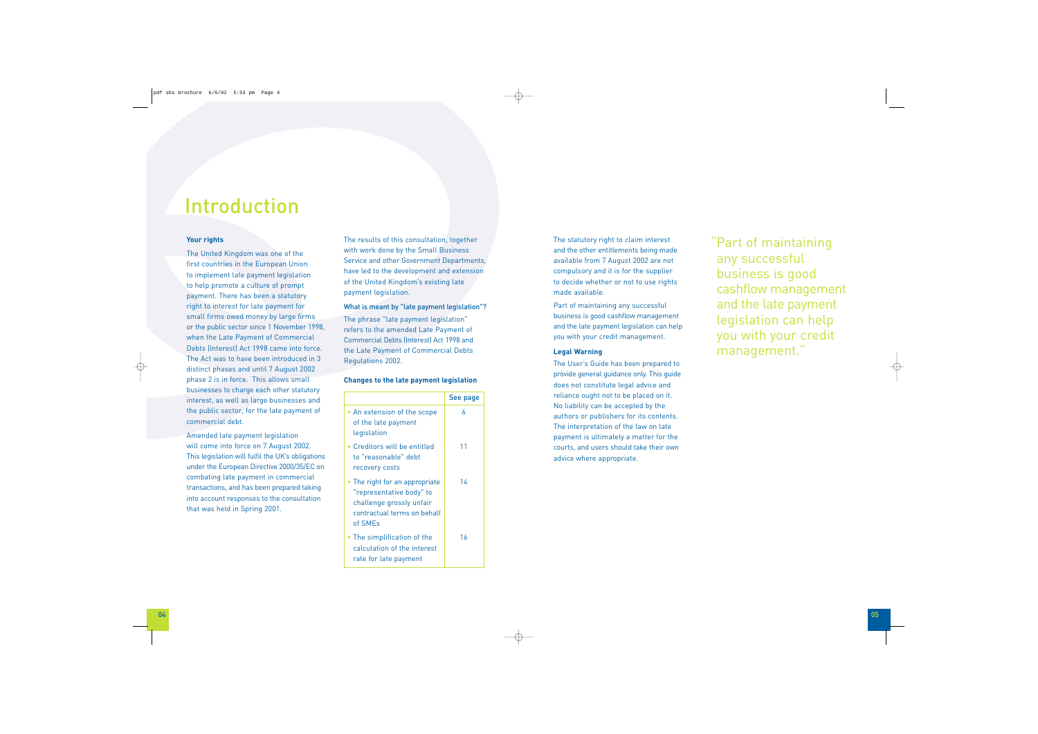# "Part of maintaining any successful business is good cashflow management and the late payment legislation can help you with your credit management."

### **Your rights**

The United Kingdom was one of the first countries in the European Union to implement late payment legislation to help promote a culture of prompt payment. There has been a statutory right to interest for late payment for small firms owed money by large firms or the public sector since 1 November 1998, when the Late Payment of Commercial Debts (Interest) Act 1998 came into force. The Act was to have been introduced in 3 distinct phases and until 7 August 2002 phase 2 is in force. This allows small businesses to charge each other statutory interest, as well as large businesses and the public sector, for the late payment of commercial debt.

Amended late payment legislation will come into force on 7 August 2002. This legislation will fulfil the UK's obligations under the European Directive 2000/35/EC on combating late payment in commercial transactions, and has been prepared taking into account responses to the consultation that was held in Spring 2001.

The results of this consultation, together with work done by the Small Business Service and other Government Departments, have led to the development and extension of the United Kingdom's existing late payment legislation.

#### What is meant by "late payment legislation"?

The phrase "late payment legislation" refers to the amended Late Payment of Commercial Debts (Interest) Act 1998 and the Late Payment of Commercial Debts Regulations 2002.

#### **Changes to the late payment legislation**

|                                                                                                                                  | See page |
|----------------------------------------------------------------------------------------------------------------------------------|----------|
| • An extension of the scope<br>of the late payment<br>legislation                                                                | 6        |
| • Creditors will be entitled<br>to "reasonable" debt<br>recovery costs                                                           | 11       |
| • The right for an appropriate<br>"representative body" to<br>challenge grossly unfair<br>contractual terms on behalf<br>of SMEs | 14       |
| • The simplification of the<br>calculation of the interest<br>rate for late payment                                              | 16       |

The statutory right to claim interest and the other entitlements being made available from 7 August 2002 are not compulsory and it is for the supplier to decide whether or not to use rights made available.

Part of maintaining any successful business is good cashflow management and the late payment legislation can help you with your credit management.

#### **Legal Warning**

The User's Guide has been prepared to provide general guidance only. This guide does not constitute legal advice and reliance ought not to be placed on it. No liability can be accepted by the authors or publishers for its contents. The interpretation of the law on late payment is ultimately a matter for the courts, and users should take their own advice where appropriate.

# Introduction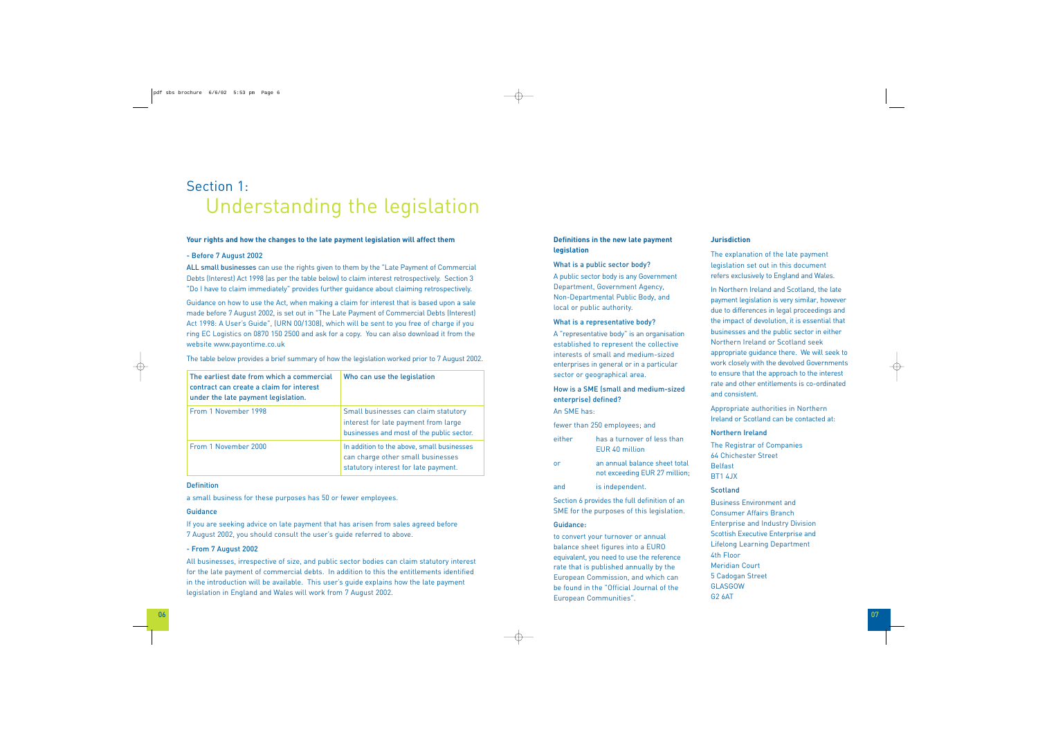#### **Your rights and how the changes to the late payment legislation will affect them**

#### - Before 7 August 2002

ALL small businesses can use the rights given to them by the "Late Payment of Commercial Debts (Interest) Act 1998 (as per the table below) to claim interest retrospectively. Section 3 "Do I have to claim immediately" provides further guidance about claiming retrospectively.

Guidance on how to use the Act, when making a claim for interest that is based upon a sale made before 7 August 2002, is set out in "The Late Payment of Commercial Debts (Interest) Act 1998: A User's Guide", (URN 00/1308), which will be sent to you free of charge if you ring EC Logistics on 0870 150 2500 and ask for a copy. You can also download it from the website www.payontime.co.uk

The table below provides a brief summary of how the legislation worked prior to 7 August 2002.

a small business for these purposes has 50 or fewer employees.

#### **Guidance**

If you are seeking advice on late payment that has arisen from sales agreed before 7 August 2002, you should consult the user's guide referred to above.

#### - From 7 August 2002

All businesses, irrespective of size, and public sector bodies can claim statutory interest for the late payment of commercial debts. In addition to this the entitlements identified in the introduction will be available. This user's guide explains how the late payment legislation in England and Wales will work from 7 August 2002.

### **Definitions in the new late payment legislation**

#### What is a public sector body?

A public sector body is any Government Department, Government Agency, Non-Departmental Public Body, and local or public authority.

#### What is a representative body?

A "representative body" is an organisation established to represent the collective interests of small and medium-sized enterprises in general or in a particular sector or geographical area.

# How is a SME (small and medium-sized enterprise) defined?

An SME has:

| fewer than 250 employees; and |                                                                |
|-------------------------------|----------------------------------------------------------------|
| either                        | has a turnover of less than<br>FUR 40 million                  |
| or                            | an annual balance sheet total<br>not exceeding EUR 27 million; |
| and                           | is independent.                                                |

Section 6 provides the full definition of an SME for the purposes of this legislation.

#### Guidance:

to convert your turnover or annual balance sheet figures into a EURO equivalent, you need to use the reference rate that is published annually by the European Commission, and which can be found in the "Official Journal of the European Communities".

#### **Jurisdiction**

The explanation of the late payment legislation set out in this document refers exclusively to England and Wales.

In Northern Ireland and Scotland, the late payment legislation is very similar, however due to differences in legal proceedings and the impact of devolution, it is essential that businesses and the public sector in either Northern Ireland or Scotland seek appropriate guidance there. We will seek to work closely with the devolved Governments to ensure that the approach to the interest rate and other entitlements is co-ordinated and consistent.

Appropriate authorities in Northern Ireland or Scotland can be contacted at:

#### Northern Ireland

The Registrar of Companies 64 Chichester Street Belfast BT1 4JX

#### **Scotland**

Business Environment and Consumer Affairs Branch Enterprise and Industry Division Scottish Executive Enterprise and Lifelong Learning Department 4th Floor Meridian Court 5 Cadogan Street GLASGOW G2 6AT

# Section 1: Understanding the legislation

| The earliest date from which a commercial<br>contract can create a claim for interest<br>under the late payment legislation. | Who can use the legislation                                                                                               |
|------------------------------------------------------------------------------------------------------------------------------|---------------------------------------------------------------------------------------------------------------------------|
| From 1 November 1998                                                                                                         | Small businesses can claim statutory<br>interest for late payment from large<br>businesses and most of the public sector. |
| From 1 November 2000                                                                                                         | In addition to the above, small businesses<br>can charge other small businesses<br>statutory interest for late payment.   |

#### **Definition**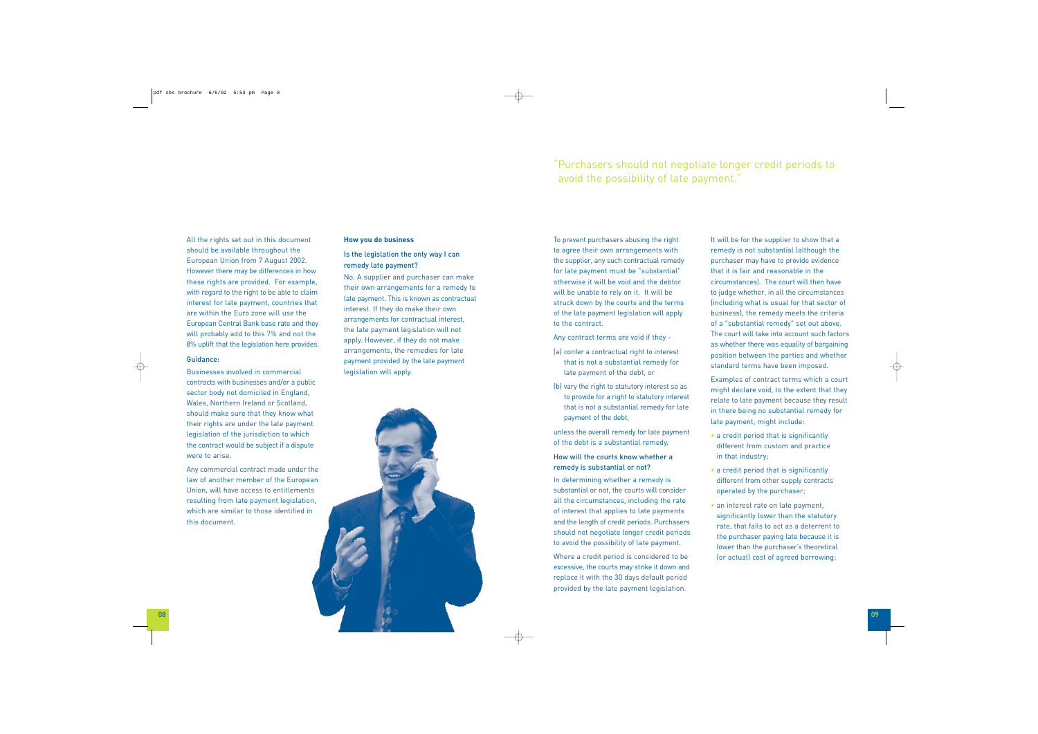08 09

#### **How you do business**

### Is the legislation the only way I can remedy late payment?

No. A supplier and purchaser can make their own arrangements for a remedy to late payment. This is known as contractual interest. If they do make their own arrangements for contractual interest, the late payment legislation will not apply. However, if they do not make arrangements, the remedies for late payment provided by the late payment legislation will apply.

To prevent purchasers abusing the right to agree their own arrangements with the supplier, any such contractual remedy for late payment must be "substantial" otherwise it will be void and the debtor will be unable to rely on it. It will be struck down by the courts and the terms of the late payment legislation will apply to the contract.

Any contract terms are void if they -

- (a) confer a contractual right to interest that is not a substantial remedy for late payment of the debt, or
- (b) vary the right to statutory interest so as to provide for a right to statutory interest that is not a substantial remedy for late payment of the debt,

unless the overall remedy for late payment of the debt is a substantial remedy.

# How will the courts know whether a remedy is substantial or not?

In determining whether a remedy is substantial or not, the courts will consider all the circumstances, including the rate of interest that applies to late payments and the length of credit periods. Purchasers should not negotiate longer credit periods to avoid the possibility of late payment.

Where a credit period is considered to be excessive, the courts may strike it down and replace it with the 30 days default period provided by the late payment legislation.

It will be for the supplier to show that a remedy is not substantial (although the purchaser may have to provide evidence that it is fair and reasonable in the circumstances). The court will then have to judge whether, in all the circumstances (including what is usual for that sector of business), the remedy meets the criteria of a "substantial remedy" set out above. The court will take into account such factors as whether there was equality of bargaining position between the parties and whether standard terms have been imposed.

Examples of contract terms which a court might declare void, to the extent that they relate to late payment because they result in there being no substantial remedy for late payment, might include:

- a credit period that is significantly different from custom and practice in that industry;
- a credit period that is significantly different from other supply contracts operated by the purchaser;
- an interest rate on late payment, significantly lower than the statutory rate, that fails to act as a deterrent to the purchaser paying late because it is lower than the purchaser's theoretical (or actual) cost of agreed borrowing;

# "Purchasers should not negotiate longer credit periods to avoid the possibility of late payment."

All the rights set out in this document should be available throughout the European Union from 7 August 2002. However there may be differences in how these rights are provided. For example, with regard to the right to be able to claim interest for late payment, countries that are within the Euro zone will use the European Central Bank base rate and they will probably add to this 7% and not the 8% uplift that the legislation here provides.

#### Guidance:

Businesses involved in commercial contracts with businesses and/or a public sector body not domiciled in England, Wales, Northern Ireland or Scotland, should make sure that they know what their rights are under the late payment legislation of the jurisdiction to which the contract would be subject if a dispute were to arise.

Any commercial contract made under the law of another member of the European Union, will have access to entitlements resulting from late payment legislation, which are similar to those identified in this document.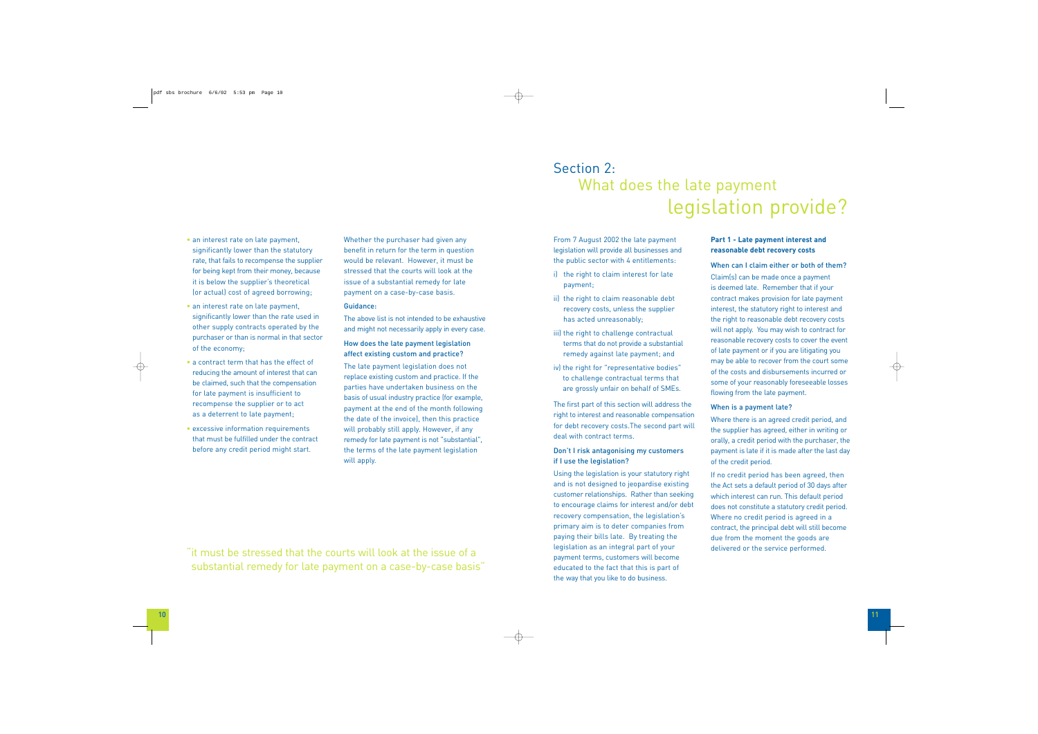Whether the purchaser had given any benefit in return for the term in question would be relevant. However, it must be stressed that the courts will look at the issue of a substantial remedy for late payment on a case-by-case basis.

#### Guidance:

The above list is not intended to be exhaustive and might not necessarily apply in every case.

#### How does the late payment legislation affect existing custom and practice?

The late payment legislation does not replace existing custom and practice. If the parties have undertaken business on the basis of usual industry practice (for example, payment at the end of the month following the date of the invoice), then this practice will probably still apply. However, if any remedy for late payment is not "substantial", the terms of the late payment legislation will apply.

- an interest rate on late payment, significantly lower than the statutory rate, that fails to recompense the supplier for being kept from their money, because it is below the supplier's theoretical (or actual) cost of agreed borrowing;
- an interest rate on late payment, significantly lower than the rate used in other supply contracts operated by the purchaser or than is normal in that sector of the economy;
- a contract term that has the effect of reducing the amount of interest that can be claimed, such that the compensation for late payment is insufficient to recompense the supplier or to act as a deterrent to late payment;
- excessive information requirements that must be fulfilled under the contract before any credit period might start.

From 7 August 2002 the late payment legislation will provide all businesses and the public sector with 4 entitlements:

- i) the right to claim interest for late payment;
- ii) the right to claim reasonable debt recovery costs, unless the supplier has acted unreasonably;
- iii) the right to challenge contractual terms that do not provide a substantial remedy against late payment; and
- iv) the right for "representative bodies" to challenge contractual terms that are grossly unfair on behalf of SMEs.

The first part of this section will address the right to interest and reasonable compensation for debt recovery costs.The second part will deal with contract terms.

# Don't I risk antagonising my customers if I use the legislation?

Using the legislation is your statutory right and is not designed to jeopardise existing customer relationships. Rather than seeking to encourage claims for interest and/or debt recovery compensation, the legislation's primary aim is to deter companies from paying their bills late. By treating the legislation as an integral part of your payment terms, customers will become educated to the fact that this is part of the way that you like to do business.

### **Part 1 - Late payment interest and reasonable debt recovery costs**

When can I claim either or both of them? Claim(s) can be made once a payment is deemed late. Remember that if your contract makes provision for late payment interest, the statutory right to interest and the right to reasonable debt recovery costs will not apply. You may wish to contract for reasonable recovery costs to cover the event of late payment or if you are litigating you may be able to recover from the court some of the costs and disbursements incurred or some of your reasonably foreseeable losses flowing from the late payment.

#### When is a payment late?

- Where there is an agreed credit period, and the supplier has agreed, either in writing or orally, a credit period with the purchaser, the payment is late if it is made after the last day of the credit period.
- If no credit period has been agreed, then the Act sets a default period of 30 days after which interest can run. This default period does not constitute a statutory credit period. Where no credit period is agreed in a contract, the principal debt will still become due from the moment the goods are delivered or the service performed.

# Section 2: What does the late payment legislation provide?

"it must be stressed that the courts will look at the issue of a substantial remedy for late payment on a case-by-case basis"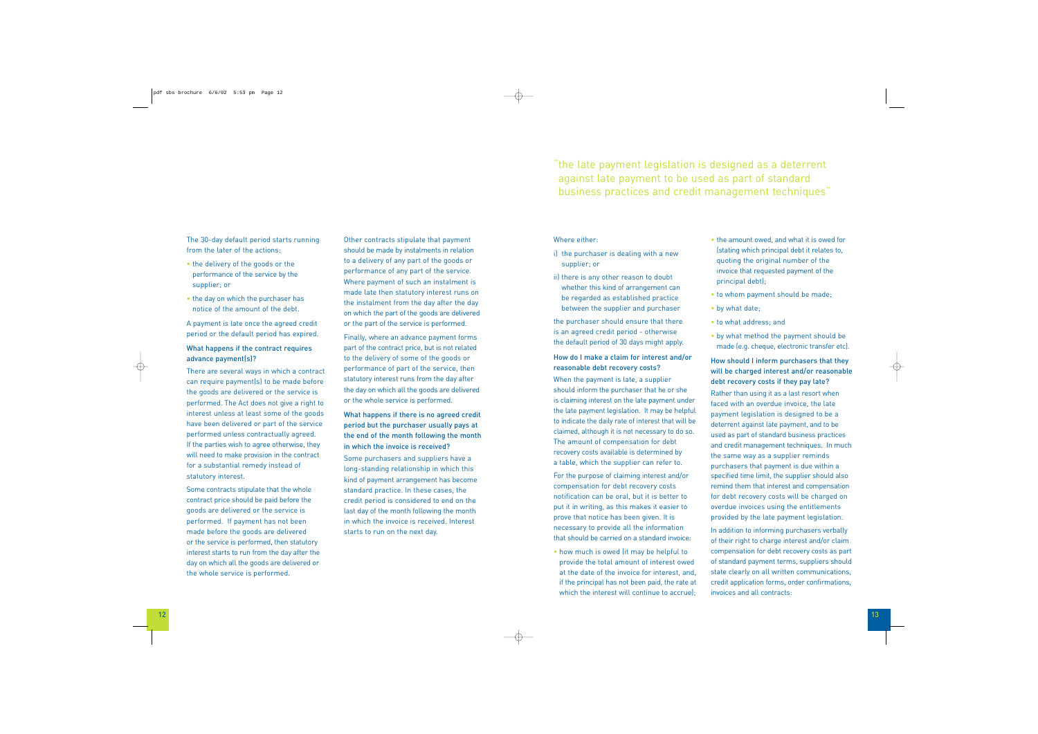The 30-day default period starts running from the later of the actions:

- the delivery of the goods or the performance of the service by the supplier; or
- the day on which the purchaser has notice of the amount of the debt.

A payment is late once the agreed credit period or the default period has expired.

# What happens if the contract requires advance payment(s)?

There are several ways in which a contract can require payment(s) to be made before the goods are delivered or the service is performed. The Act does not give a right to interest unless at least some of the goods have been delivered or part of the service performed unless contractually agreed. If the parties wish to agree otherwise, they will need to make provision in the contract for a substantial remedy instead of statutory interest.

Some contracts stipulate that the whole contract price should be paid before the goods are delivered or the service is performed. If payment has not been made before the goods are delivered or the service is performed, then statutory interest starts to run from the day after the day on which all the goods are delivered or the whole service is performed.

Other contracts stipulate that payment should be made by instalments in relation to a delivery of any part of the goods or performance of any part of the service. Where payment of such an instalment is made late then statutory interest runs on the instalment from the day after the day on which the part of the goods are delivered or the part of the service is performed.

Finally, where an advance payment forms part of the contract price, but is not related to the delivery of some of the goods or performance of part of the service, then statutory interest runs from the day after the day on which all the goods are delivered or the whole service is performed.

> • how much is owed (it may be helpful to provide the total amount of interest owed at the date of the invoice for interest, and, if the principal has not been paid, the rate at which the interest will continue to accrue);

# What happens if there is no agreed credit period but the purchaser usually pays at the end of the month following the month in which the invoice is received?

Some purchasers and suppliers have a long-standing relationship in which this kind of payment arrangement has become standard practice. In these cases, the credit period is considered to end on the last day of the month following the month in which the invoice is received. Interest starts to run on the next day.

### Where either:

- i) the purchaser is dealing with a new supplier; or
- ii) there is any other reason to doubt whether this kind of arrangement can be regarded as established practice between the supplier and purchaser

the purchaser should ensure that there is an agreed credit period - otherwise the default period of 30 days might apply.

# How do I make a claim for interest and/or reasonable debt recovery costs?

When the payment is late, a supplier should inform the purchaser that he or she is claiming interest on the late payment under the late payment legislation. It may be helpful to indicate the daily rate of interest that will be claimed, although it is not necessary to do so. The amount of compensation for debt recovery costs available is determined by a table, which the supplier can refer to.

For the purpose of claiming interest and/or compensation for debt recovery costs notification can be oral, but it is better to put it in writing, as this makes it easier to prove that notice has been given. It is necessary to provide all the information that should be carried on a standard invoice:

- the amount owed, and what it is owed for (stating which principal debt it relates to, quoting the original number of the invoice that requested payment of the principal debt);
- to whom payment should be made;
- by what date;
- to what address; and
- by what method the payment should be made (e.g. cheque, electronic transfer etc).

# How should I inform purchasers that they will be charged interest and/or reasonable debt recovery costs if they pay late?

Rather than using it as a last resort when faced with an overdue invoice, the late payment legislation is designed to be a deterrent against late payment, and to be used as part of standard business practices and credit management techniques. In much the same way as a supplier reminds purchasers that payment is due within a specified time limit, the supplier should also remind them that interest and compensation for debt recovery costs will be charged on overdue invoices using the entitlements provided by the late payment legislation.

In addition to informing purchasers verbally of their right to charge interest and/or claim compensation for debt recovery costs as part of standard payment terms, suppliers should state clearly on all written communications, credit application forms, order confirmations, invoices and all contracts:

# "the late payment legislation is designed as a deterrent against late payment to be used as part of standard business practices and credit management techniques"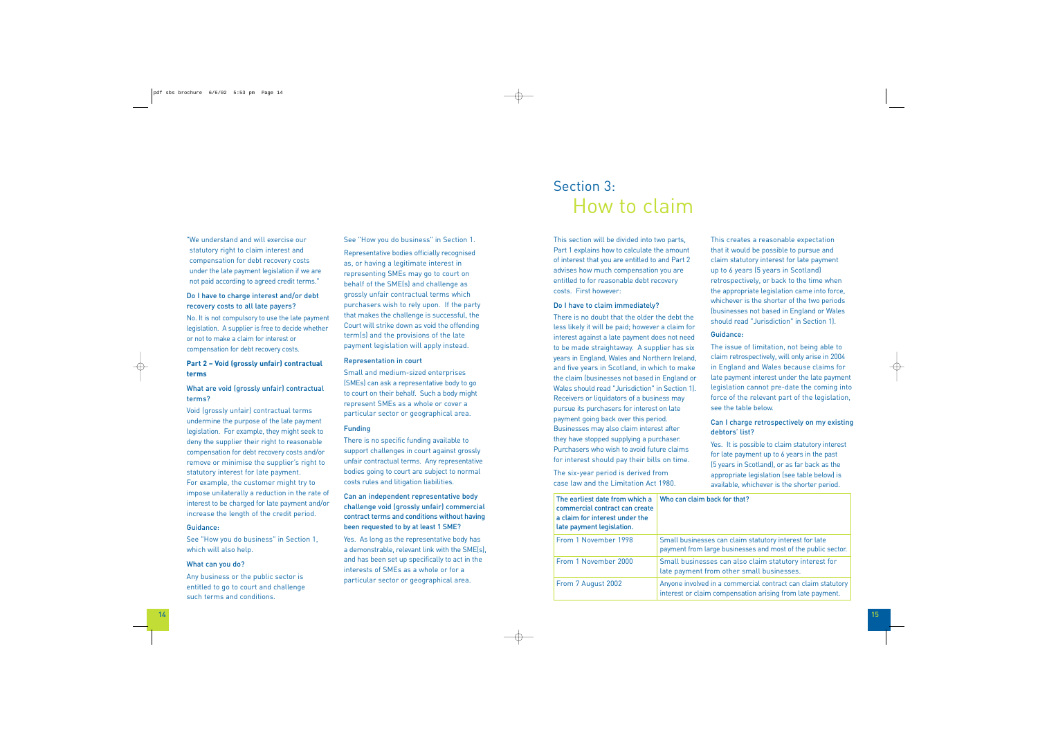See "How you do business" in Section 1.

Representative bodies officially recognised as, or having a legitimate interest in representing SMEs may go to court on behalf of the SME(s) and challenge as grossly unfair contractual terms which purchasers wish to rely upon. If the party that makes the challenge is successful, the Court will strike down as void the offending term(s) and the provisions of the late payment legislation will apply instead.

#### Representation in court

Small and medium-sized enterprises (SMEs) can ask a representative body to go to court on their behalf. Such a body might represent SMEs as a whole or cover a particular sector or geographical area.

#### Funding

There is no specific funding available to support challenges in court against grossly unfair contractual terms. Any representative bodies going to court are subject to normal costs rules and litigation liabilities.

# Can an independent representative body challenge void (grossly unfair) commercial contract terms and conditions without having been requested to by at least 1 SME?

Yes. As long as the representative body has a demonstrable, relevant link with the SME(s), and has been set up specifically to act in the interests of SMEs as a whole or for a particular sector or geographical area.

"We understand and will exercise our statutory right to claim interest and compensation for debt recovery costs under the late payment legislation if we are not paid according to agreed credit terms."

# Do I have to charge interest and/or debt recovery costs to all late payers?

No. It is not compulsory to use the late payment legislation. A supplier is free to decide whether or not to make a claim for interest or compensation for debt recovery costs.

# **Part 2 – Void (grossly unfair) contractual terms**

# What are void (grossly unfair) contractual terms?

Void (grossly unfair) contractual terms undermine the purpose of the late payment legislation. For example, they might seek to deny the supplier their right to reasonable compensation for debt recovery costs and/or remove or minimise the supplier's right to statutory interest for late payment. For example, the customer might try to impose unilaterally a reduction in the rate of interest to be charged for late payment and/or increase the length of the credit period.

#### Guidance:

See "How you do business" in Section 1, which will also help.

#### What can you do?

Any business or the public sector is entitled to go to court and challenge such terms and conditions.

This creates a reasonable expectation that it would be possible to pursue and claim statutory interest for late payment up to 6 years (5 years in Scotland) retrospectively, or back to the time when the appropriate legislation came into force, whichever is the shorter of the two periods (businesses not based in England or Wales should read "Jurisdiction" in Section 1).

#### Guidance:

The issue of limitation, not being able to claim retrospectively, will only arise in 2004 in England and Wales because claims for late payment interest under the late payment legislation cannot pre-date the coming into force of the relevant part of the legislation, see the table below.

### Can I charge retrospectively on my existing debtors' list?

Yes. It is possible to claim statutory interest for late payment up to 6 years in the past (5 years in Scotland), or as far back as the appropriate legislation (see table below) is available, whichever is the shorter period.

#### back for that?

es can claim statutory interest for late arge businesses and most of the public sector.

From 1 Assex 2000 Sessions 2000 Session also claim statutors in the Session Session Session Session S rom other small businesses.

in a commercial contract can claim statutory n compensation arising from late payment.

This section will be divided into two parts, Part 1 explains how to calculate the amount of interest that you are entitled to and Part 2 advises how much compensation you are entitled to for reasonable debt recovery costs. First however:

#### Do I have to claim immediately?

There is no doubt that the older the debt the less likely it will be paid; however a claim for interest against a late payment does not need to be made straightaway. A supplier has six years in England, Wales and Northern Ireland, and five years in Scotland, in which to make the claim (businesses not based in England or Wales should read "Jurisdiction" in Section 1). Receivers or liquidators of a business may pursue its purchasers for interest on late payment going back over this period. Businesses may also claim interest after they have stopped supplying a purchaser. Purchasers who wish to avoid future claims for interest should pay their bills on time.

The six-year period is derived from case law and the Limitation Act 1980.

# Section 3: How to claim

| The earliest date from which a<br>commercial contract can create<br>a claim for interest under the<br>late payment legislation. | Who can claim b                          |
|---------------------------------------------------------------------------------------------------------------------------------|------------------------------------------|
| From 1 November 1998                                                                                                            | Small business<br>payment from la        |
| From 1 November 2000                                                                                                            | <b>Small business</b><br>late payment fr |
| From 7 August 2002                                                                                                              | Anyone involved<br>interest or clain     |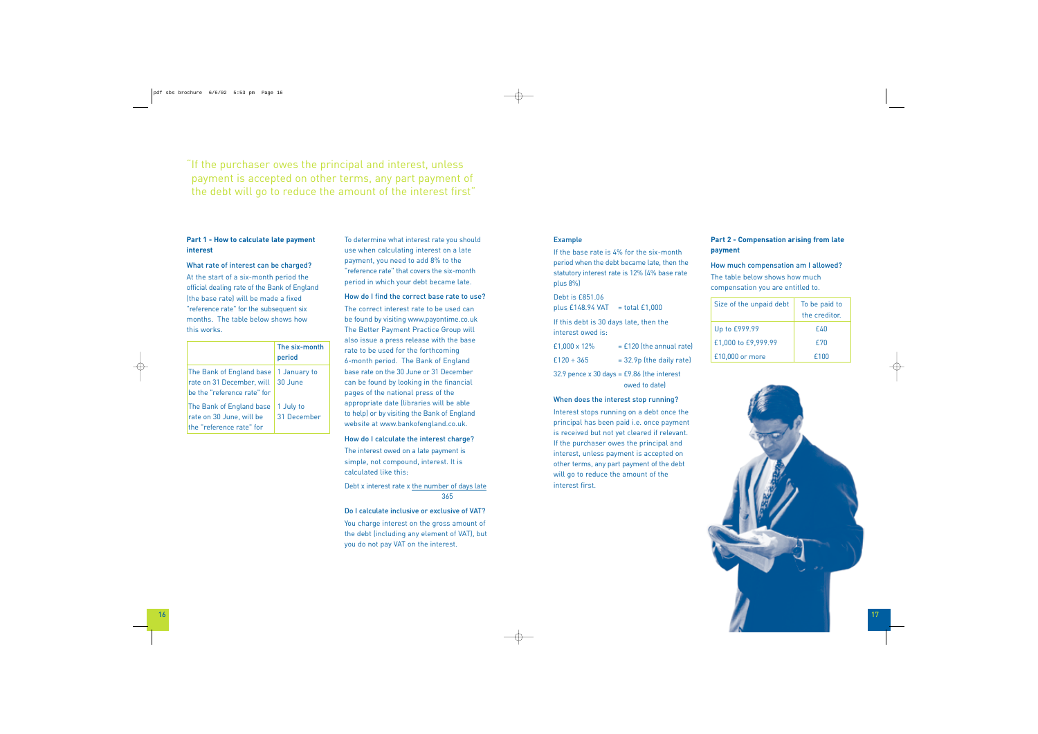# **Part 2 - Compensation arising from late payment**

# How much compensation am I allowed?

The table below shows how much compensation you are entitled to.

| Size of the unpaid debt | To be paid to<br>the creditor. |
|-------------------------|--------------------------------|
| Up to £999.99           | £40                            |
| £1,000 to £9,999.99     | £70                            |
| £10,000 or more         | £100                           |



# **Part 1 - How to calculate late payment interest**

#### What rate of interest can be charged?

At the start of a six-month period the official dealing rate of the Bank of England (the base rate) will be made a fixed "reference rate" for the subsequent six months. The table below shows how this works.

|                                                                                      | The six-month<br>period  |
|--------------------------------------------------------------------------------------|--------------------------|
| The Bank of England base<br>rate on 31 December, will<br>be the "reference rate" for | 1 January to<br>30 June  |
| The Bank of England base<br>rate on 30 June, will be<br>the "reference rate" for     | 1 July to<br>31 December |

To determine what interest rate you should use when calculating interest on a late payment, you need to add 8% to the "reference rate" that covers the six-month period in which your debt became late.

#### How do I find the correct base rate to use?

32.9 pence  $x$  30 days = £9.86 (the interest owed to date)

The correct interest rate to be used can be found by visiting www.payontime.co.uk The Better Payment Practice Group will also issue a press release with the base rate to be used for the forthcoming 6-month period. The Bank of England base rate on the 30 June or 31 December can be found by looking in the financial pages of the national press of the appropriate date (libraries will be able to help) or by visiting the Bank of England website at www.bankofengland.co.uk.

#### How do I calculate the interest charge?

The interest owed on a late payment is simple, not compound, interest. It is calculated like this:

Debt x interest rate x the number of days late 365

#### Do I calculate inclusive or exclusive of VAT?

You charge interest on the gross amount of the debt (including any element of VAT), but you do not pay VAT on the interest.

"If the purchaser owes the principal and interest, unless payment is accepted on other terms, any part payment of the debt will go to reduce the amount of the interest first"

#### Example

If the base rate is 4% for the six-month period when the debt became late, then the statutory interest rate is 12% (4% base rate <sup>p</sup>lus 8%)

#### Debt is £851.06

plus  $£148.94$  VAT = total  $£1,000$ 

If this debt is 30 days late, then the interest owed is:

| £1,000 x 12% | $=$ £120 (the annual rate) |
|--------------|----------------------------|
| £120 ÷ 365   | $= 32.9p$ (the daily rate) |

#### When does the interest stop running?

Interest stops running on a debt once the principal has been paid i.e. once payment is received but not yet cleared if relevant. If the purchaser owes the principal and interest, unless payment is accepted on other terms, any part payment of the debt will go to reduce the amount of the interest first.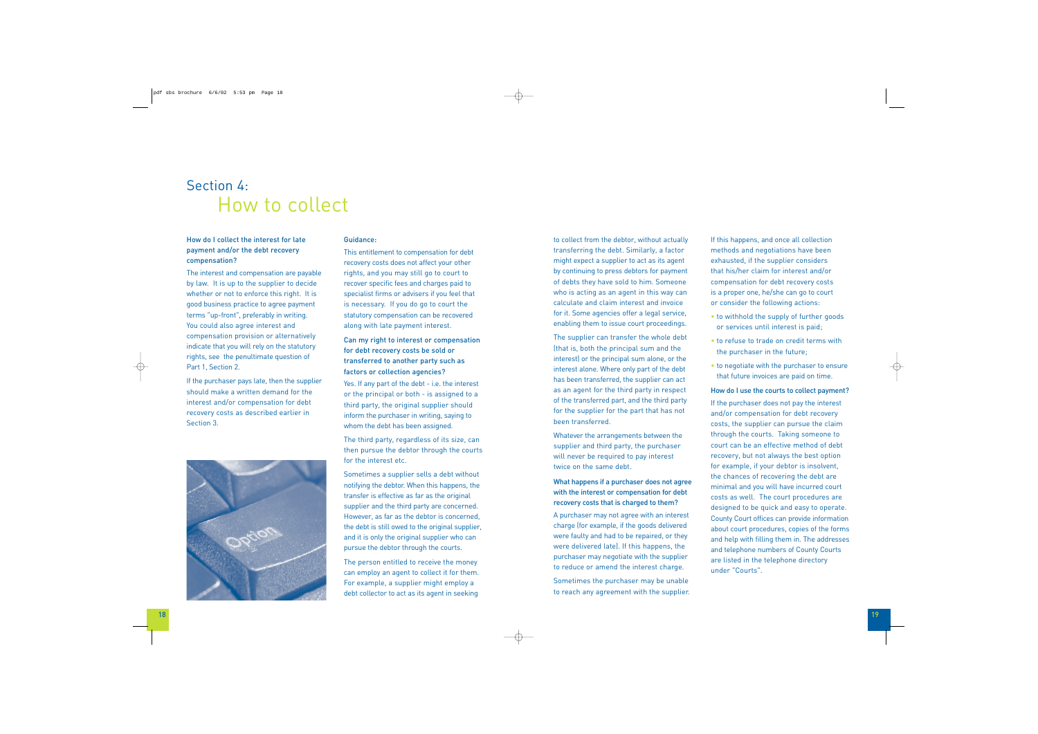# How do I collect the interest for late payment and/or the debt recovery compensation?

The interest and compensation are payable by law. It is up to the supplier to decide whether or not to enforce this right. It is good business practice to agree payment terms "up-front", preferably in writing. You could also agree interest and compensation provision or alternatively indicate that you will rely on the statutory rights, see the penultimate question of Part 1, Section 2.

If the purchaser pays late, then the supplier should make a written demand for the interest and/or compensation for debt recovery costs as described earlier in Section 3.



#### Guidance:

Yes. If any part of the debt - i.e. the interest or the principal or both - is assigned to a third party, the original supplier should inform the purchaser in writing, saying to whom the debt has been assigned.

This entitlement to compensation for debt recovery costs does not affect your other rights, and you may still go to court to recover specific fees and charges paid to specialist firms or advisers if you feel that is necessary. If you do go to court the statutory compensation can be recovered along with late payment interest.

# Can my right to interest or compensation for debt recovery costs be sold or transferred to another party such as factors or collection agencies?

The third party, regardless of its size, can then pursue the debtor through the courts for the interest etc.

Sometimes a supplier sells a debt without notifying the debtor. When this happens, the transfer is effective as far as the original supplier and the third party are concerned. However, as far as the debtor is concerned, the debt is still owed to the original supplier, and it is only the original supplier who can pursue the debtor through the courts.

The person entitled to receive the money can employ an agent to collect it for them. For example, a supplier might employ a debt collector to act as its agent in seeking

# Section 4: How to collect

to collect from the debtor, without actually transferring the debt. Similarly, a factor might expect a supplier to act as its agent by continuing to press debtors for payment of debts they have sold to him. Someone who is acting as an agent in this way can calculate and claim interest and invoice for it. Some agencies offer a legal service, enabling them to issue court proceedings.

The supplier can transfer the whole debt (that is, both the principal sum and the interest) or the principal sum alone, or the interest alone. Where only part of the debt has been transferred, the supplier can act as an agent for the third party in respect of the transferred part, and the third party for the supplier for the part that has not been transferred.

Whatever the arrangements between the supplier and third party, the purchaser will never be required to pay interest twice on the same debt.

# What happens if a purchaser does not agree with the interest or compensation for debt recovery costs that is charged to them?

A purchaser may not agree with an interest charge (for example, if the goods delivered were faulty and had to be repaired, or they were delivered late). If this happens, the purchaser may negotiate with the supplier to reduce or amend the interest charge.

Sometimes the purchaser may be unable to reach any agreement with the supplier. If this happens, and once all collection methods and negotiations have been exhausted, if the supplier considers that his/her claim for interest and/or compensation for debt recovery costs is a proper one, he/she can go to court or consider the following actions:

- to withhold the supply of further goods or services until interest is paid;
- to refuse to trade on credit terms with the purchaser in the future;
- to negotiate with the purchaser to ensure that future invoices are paid on time.

How do I use the courts to collect payment? If the purchaser does not pay the interest and/or compensation for debt recovery costs, the supplier can pursue the claim through the courts. Taking someone to court can be an effective method of debt recovery, but not always the best option for example, if your debtor is insolvent, the chances of recovering the debt are minimal and you will have incurred court costs as well. The court procedures are designed to be quick and easy to operate. County Court offices can provide information about court procedures, copies of the forms and help with filling them in. The addresses and telephone numbers of County Courts are listed in the telephone directory under "Courts".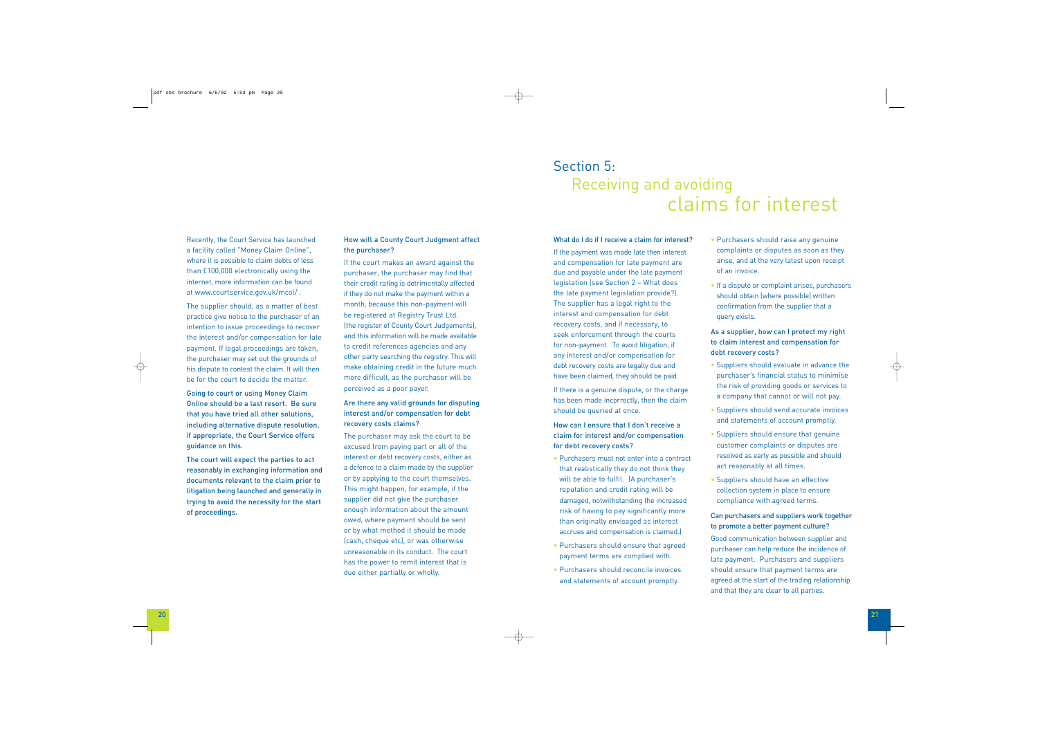Recently, the Court Service has launched a facility called "Money Claim Online", where it is possible to claim debts of less than £100,000 electronically using the internet, more information can be found at www.courtservice.gov.uk/mcol/ .

The supplier should, as a matter of best practice give notice to the purchaser of an intention to issue proceedings to recover the interest and/or compensation for late payment. If legal proceedings are taken, the purchaser may set out the grounds of his dispute to contest the claim. It will then be for the court to decide the matter.

Going to court or using Money Claim Online should be a last resort. Be sure that you have tried all other solutions, including alternative dispute resolution, if appropriate, the Court Service offers guidance on this.

The court will expect the parties to act reasonably in exchanging information and documents relevant to the claim prior to litigation being launched and generally in trying to avoid the necessity for the start of proceedings.

# How will a County Court Judgment affect the purchaser?

If the court makes an award against the purchaser, the purchaser may find that their credit rating is detrimentally affected if they do not make the payment within a month, because this non-payment will be registered at Registry Trust Ltd. (the register of County Court Judgements), and this information will be made available to credit references agencies and any other party searching the registry. This will make obtaining credit in the future much more difficult, as the purchaser will be perceived as a poor payer.

# Are there any valid grounds for disputing interest and/or compensation for debt recovery costs claims?

The purchaser may ask the court to be excused from paying part or all of the interest or debt recovery costs, either as a defence to a claim made by the supplier or by applying to the court themselves. This might happen, for example, if the supplier did not give the purchaser enough information about the amount owed, where payment should be sent or by what method it should be made (cash, cheque etc), or was otherwise unreasonable in its conduct. The court has the power to remit interest that is due either partially or wholly.

#### What do I do if I receive a claim for interest?

If the payment was made late then interest and compensation for late payment are due and payable under the late payment legislation (see Section 2 – What does the late payment legislation provide?). The supplier has a legal right to the interest and compensation for debt recovery costs, and if necessary, to seek enforcement through the courts for non-payment. To avoid litigation, if any interest and/or compensation for debt recovery costs are legally due and have been claimed, they should be paid.

If there is a genuine dispute, or the charge has been made incorrectly, then the claim should be queried at once.

# How can I ensure that I don't receive a claim for interest and/or compensation for debt recovery costs?

- Purchasers must not enter into a contract that realistically they do not think they will be able to fulfil. (A purchaser's reputation and credit rating will be damaged, notwithstanding the increased risk of having to pay significantly more than originally envisaged as interest accrues and compensation is claimed.)
- Purchasers should ensure that agreed payment terms are complied with.
- Purchasers should reconcile invoices and statements of account promptly.
- Purchasers should raise any genuine complaints or disputes as soon as they arise, and at the very latest upon receipt of an invoice.
- If a dispute or complaint arises, purchasers should obtain (where possible) written confirmation from the supplier that a query exists.

# As a supplier, how can I protect my right to claim interest and compensation for debt recovery costs?

- Suppliers should evaluate in advance the purchaser's financial status to minimise the risk of providing goods or services to a company that cannot or will not pay.
- Suppliers should send accurate invoices and statements of account promptly.
- Suppliers should ensure that genuine customer complaints or disputes are resolved as early as possible and should act reasonably at all times.
- Suppliers should have an effective collection system in place to ensure compliance with agreed terms.

# Can purchasers and suppliers work together to promote a better payment culture?

Good communication between supplier and purchaser can help reduce the incidence of late payment. Purchasers and suppliers should ensure that payment terms are agreed at the start of the trading relationship and that they are clear to all parties.

# Section 5: Receiving and avoiding claims for interest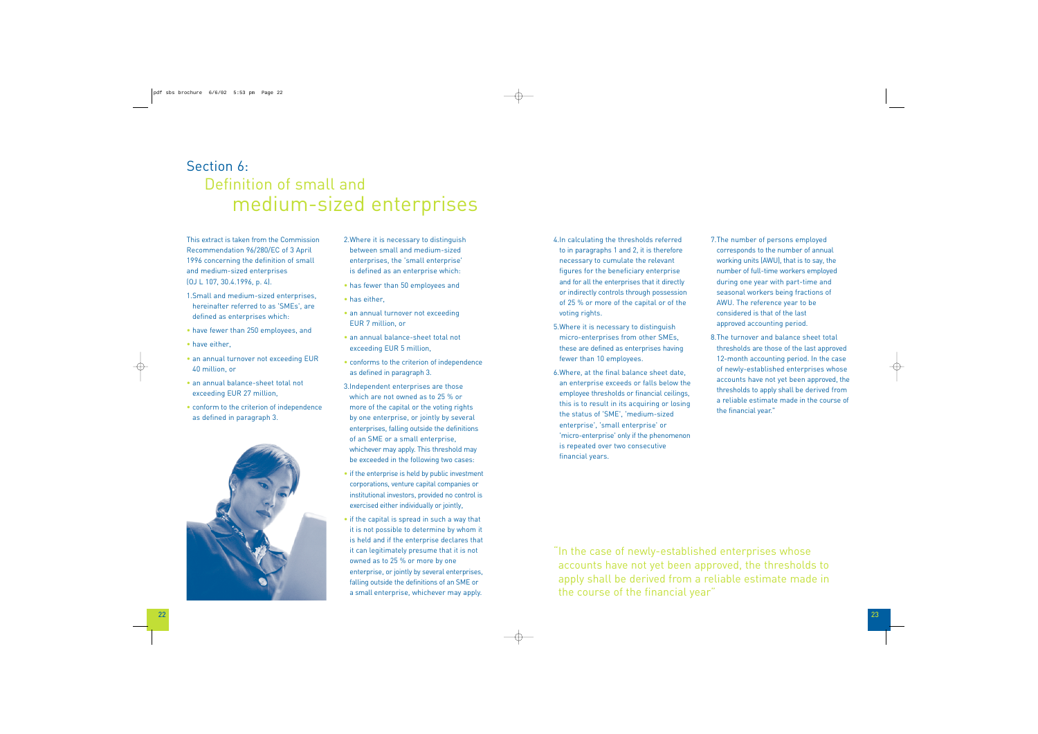This extract is taken from the Commission Recommendation 96/280/EC of 3 April 1996 concerning the definition of small and medium-sized enterprises (OJ L 107, 30.4.1996, p. 4).

- 1.Small and medium-sized enterprises, hereinafter referred to as 'SMEs', are defined as enterprises which:
- have fewer than 250 employees, and
- have either,
- an annual turnover not exceeding EUR 40 million, or
- an annual balance-sheet total not exceeding EUR 27 million,
- conform to the criterion of independence as defined in paragraph 3.



2.Where it is necessary to distinguish between small and medium-sized enterprises, the 'small enterprise' is defined as an enterprise which:

- has fewer than 50 employees and
- has either,
- an annual turnover not exceeding EUR 7 million, or
- an annual balance-sheet total not exceeding EUR 5 million,
- conforms to the criterion of independence as defined in paragraph 3.
- 3.Independent enterprises are those which are not owned as to 25 % or more of the capital or the voting rights by one enterprise, or jointly by several enterprises, falling outside the definitions of an SME or a small enterprise, whichever may apply. This threshold may be exceeded in the following two cases:
- if the enterprise is held by public investment corporations, venture capital companies or institutional investors, provided no control is exercised either individually or jointly,
- if the capital is spread in such a way that it is not possible to determine by whom it is held and if the enterprise declares that it can legitimately presume that it is not owned as to 25 % or more by one enterprise, or jointly by several enterprises, falling outside the definitions of an SME or a small enterprise, whichever may apply.

# Section 6: Definition of small and medium-sized enterprises

- 4.In calculating the thresholds referred to in paragraphs 1 and 2, it is therefore necessary to cumulate the relevant figures for the beneficiary enterprise and for all the enterprises that it directly or indirectly controls through possession of 25 % or more of the capital or of the voting rights.
- 5.Where it is necessary to distinguish micro-enterprises from other SMEs, these are defined as enterprises having fewer than 10 employees.
- 6.Where, at the final balance sheet date, an enterprise exceeds or falls below the employee thresholds or financial ceilings, this is to result in its acquiring or losing the status of 'SME', 'medium-sized enterprise', 'small enterprise' or 'micro-enterprise' only if the phenomenon is repeated over two consecutive financial years.

# 7.The number of persons employed corresponds to the number of annual working units (AWU), that is to say, the number of full-time workers employed during one year with part-time and seasonal workers being fractions of AWU. The reference year to be considered is that of the last approved accounting period.

8.The turnover and balance sheet total thresholds are those of the last approved 12-month accounting period. In the case of newly-established enterprises whose accounts have not yet been approved, the thresholds to apply shall be derived from a reliable estimate made in the course of the financial year."

"In the case of newly-established enterprises whose accounts have not yet been approved, the thresholds to apply shall be derived from a reliable estimate made in the course of the financial year"